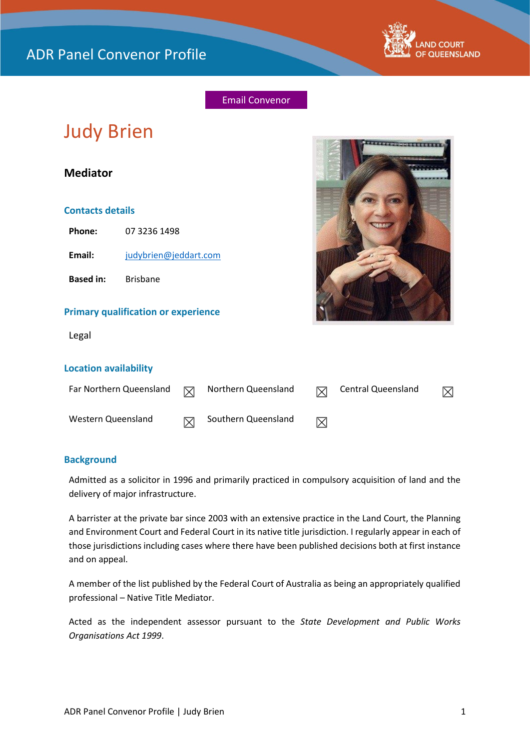

## Email Convenor

# Judy Brien

## **Mediator**

### **Contacts details**

**Phone:** 07 3236 1498

**Email:** [judybrien@jeddart.com](mailto:judybrien@jeddart.com)

**Based in:** Brisbane

#### **Primary qualification or experience**

Legal



#### **Location availability**

| Far Northern Queensland | $\nabla$ | Northern Queensland |             | Central Queensland |  |
|-------------------------|----------|---------------------|-------------|--------------------|--|
| Western Queensland      |          | Southern Queensland | $\boxtimes$ |                    |  |

## **Background**

Admitted as a solicitor in 1996 and primarily practiced in compulsory acquisition of land and the delivery of major infrastructure.

A barrister at the private bar since 2003 with an extensive practice in the Land Court, the Planning and Environment Court and Federal Court in its native title jurisdiction. I regularly appear in each of those jurisdictions including cases where there have been published decisions both at first instance and on appeal.

A member of the list published by the Federal Court of Australia as being an appropriately qualified professional – Native Title Mediator.

Acted as the independent assessor pursuant to the *State Development and Public Works Organisations Act 1999*.